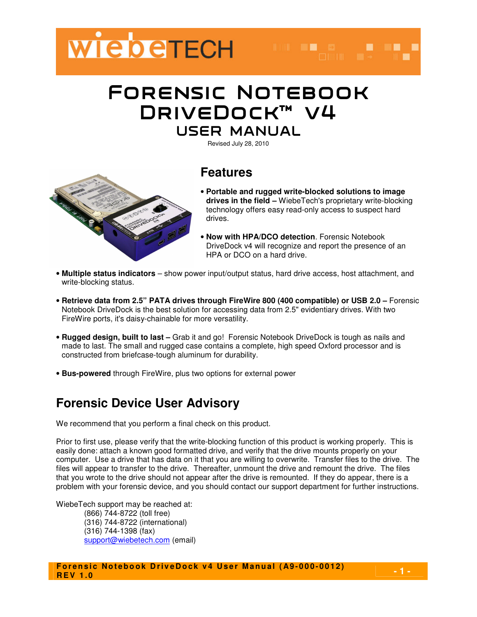

# Forensic Notebook DRIVEDOCK™ V4 USER MANUAL

Revised July 28, 2010



## **Features**

- **Portable and rugged write-blocked solutions to image drives in the field –** WiebeTech's proprietary write-blocking technology offers easy read-only access to suspect hard drives.
- **Now with HPA/DCO detection**. Forensic Notebook DriveDock v4 will recognize and report the presence of an HPA or DCO on a hard drive.
- **Multiple status indicators** show power input/output status, hard drive access, host attachment, and write-blocking status.
- **Retrieve data from 2.5" PATA drives through FireWire 800 (400 compatible) or USB 2.0** Forensic Notebook DriveDock is the best solution for accessing data from 2.5" evidentiary drives. With two FireWire ports, it's daisy-chainable for more versatility.
- **Rugged design, built to last** Grab it and go! Forensic Notebook DriveDock is tough as nails and made to last. The small and rugged case contains a complete, high speed Oxford processor and is constructed from briefcase-tough aluminum for durability.
- **Bus-powered** through FireWire, plus two options for external power

## **Forensic Device User Advisory**

We recommend that you perform a final check on this product.

Prior to first use, please verify that the write-blocking function of this product is working properly. This is easily done: attach a known good formatted drive, and verify that the drive mounts properly on your computer. Use a drive that has data on it that you are willing to overwrite. Transfer files to the drive. The files will appear to transfer to the drive. Thereafter, unmount the drive and remount the drive. The files that you wrote to the drive should not appear after the drive is remounted. If they do appear, there is a problem with your forensic device, and you should contact our support department for further instructions.

WiebeTech support may be reached at: (866) 744-8722 (toll free) (316) 744-8722 (international) (316) 744-1398 (fax) support@wiebetech.com (email)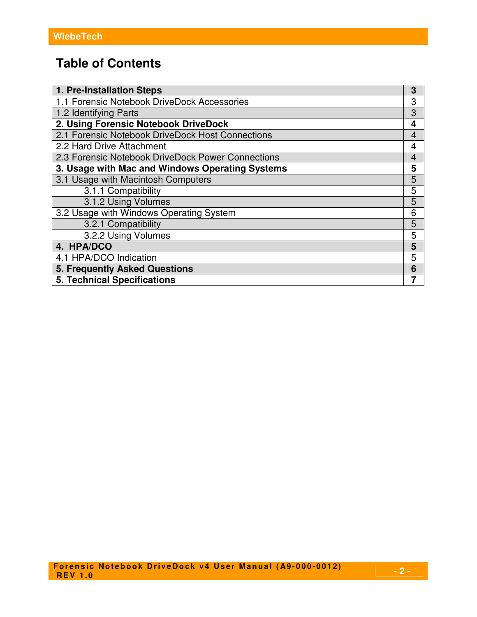## **Table of Contents**

| 1. Pre-Installation Steps                         | 3              |
|---------------------------------------------------|----------------|
| 1.1 Forensic Notebook DriveDock Accessories       | 3              |
| 1.2 Identifying Parts                             | 3              |
| 2. Using Forensic Notebook DriveDock              | 4              |
| 2.1 Forensic Notebook DriveDock Host Connections  | 4              |
| 2.2 Hard Drive Attachment                         | 4              |
| 2.3 Forensic Notebook DriveDock Power Connections | $\overline{4}$ |
| 3. Usage with Mac and Windows Operating Systems   | 5              |
| 3.1 Usage with Macintosh Computers                | 5              |
| 3.1.1 Compatibility                               | 5              |
| 3.1.2 Using Volumes                               | 5              |
| 3.2 Usage with Windows Operating System           | 6              |
| 3.2.1 Compatibility                               | 5              |
| 3.2.2 Using Volumes                               | 5              |
| 4. HPA/DCO                                        | 5              |
| 4.1 HPA/DCO Indication                            | 5              |
| <b>5. Frequently Asked Questions</b>              |                |
| <b>5. Technical Specifications</b>                |                |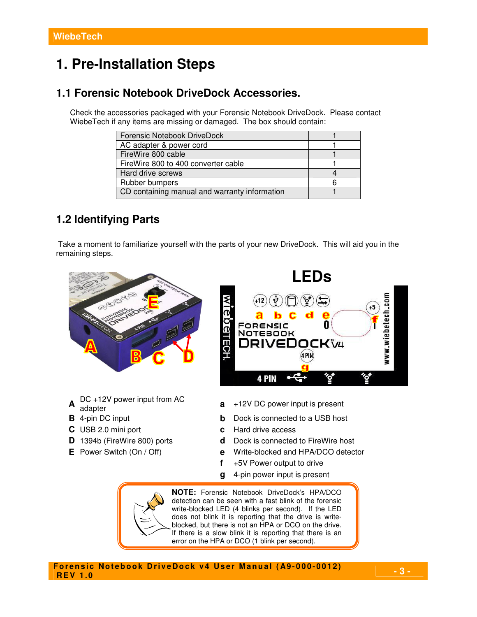## **1. Pre-Installation Steps**

### **1.1 Forensic Notebook DriveDock Accessories.**

Check the accessories packaged with your Forensic Notebook DriveDock. Please contact WiebeTech if any items are missing or damaged. The box should contain:

| Forensic Notebook DriveDock                   |  |
|-----------------------------------------------|--|
| AC adapter & power cord                       |  |
| FireWire 800 cable                            |  |
| FireWire 800 to 400 converter cable           |  |
| Hard drive screws                             |  |
| Rubber bumpers                                |  |
| CD containing manual and warranty information |  |

### **1.2 Identifying Parts**

Take a moment to familiarize yourself with the parts of your new DriveDock. This will aid you in the remaining steps.



- **A** DC +12V power input from AC
- 
- 
- 
- 
- 



- adapter **<sup>a</sup>** +12V DC power input is present
- **B** 4-pin DC input **b** Dock is connected to a USB host
- **C** USB 2.0 mini port **c** Hard drive access
- **D** 1394b (FireWire 800) ports **d** Dock is connected to FireWire host
- **E** Power Switch (On / Off) **e** Write-blocked and HPA/DCO detector
	- **f** +5V Power output to drive
	- **g** 4-pin power input is present

**NOTE:** Forensic Notebook DriveDock's HPA/DCO detection can be seen with a fast blink of the forensic write-blocked LED (4 blinks per second). If the LED does not blink it is reporting that the drive is writeblocked, but there is not an HPA or DCO on the drive. If there is a slow blink it is reporting that there is an error on the HPA or DCO (1 blink per second).

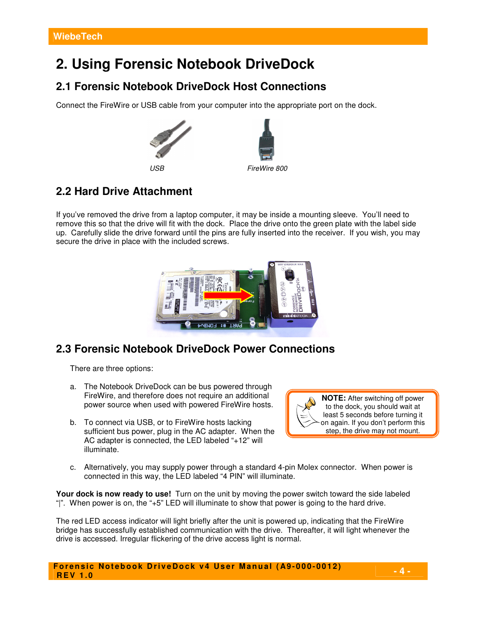## **2. Using Forensic Notebook DriveDock**

### **2.1 Forensic Notebook DriveDock Host Connections**

Connect the FireWire or USB cable from your computer into the appropriate port on the dock.



## **2.2 Hard Drive Attachment**

If you've removed the drive from a laptop computer, it may be inside a mounting sleeve. You'll need to remove this so that the drive will fit with the dock. Place the drive onto the green plate with the label side up. Carefully slide the drive forward until the pins are fully inserted into the receiver. If you wish, you may secure the drive in place with the included screws.



### **2.3 Forensic Notebook DriveDock Power Connections**

There are three options:

- a. The Notebook DriveDock can be bus powered through FireWire, and therefore does not require an additional power source when used with powered FireWire hosts.
- b. To connect via USB, or to FireWire hosts lacking sufficient bus power, plug in the AC adapter. When the AC adapter is connected, the LED labeled "+12" will illuminate.



c. Alternatively, you may supply power through a standard 4-pin Molex connector. When power is connected in this way, the LED labeled "4 PIN" will illuminate.

**Your dock is now ready to use!** Turn on the unit by moving the power switch toward the side labeled "|". When power is on, the "+5" LED will illuminate to show that power is going to the hard drive.

The red LED access indicator will light briefly after the unit is powered up, indicating that the FireWire bridge has successfully established communication with the drive. Thereafter, it will light whenever the drive is accessed. Irregular flickering of the drive access light is normal.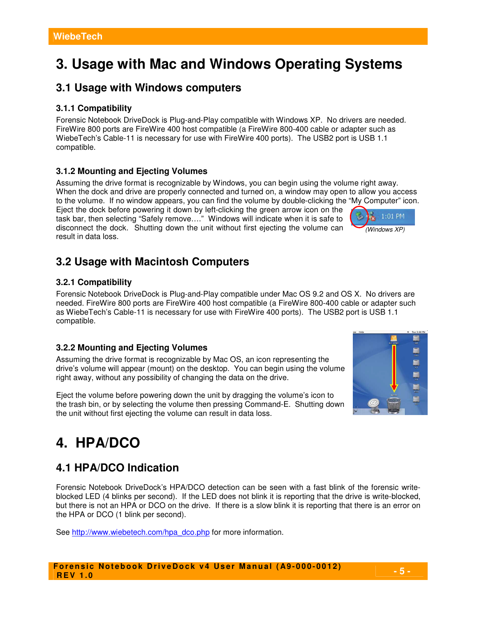# **3. Usage with Mac and Windows Operating Systems**

### **3.1 Usage with Windows computers**

#### **3.1.1 Compatibility**

Forensic Notebook DriveDock is Plug-and-Play compatible with Windows XP. No drivers are needed. FireWire 800 ports are FireWire 400 host compatible (a FireWire 800-400 cable or adapter such as WiebeTech's Cable-11 is necessary for use with FireWire 400 ports). The USB2 port is USB 1.1 compatible.

### **3.1.2 Mounting and Ejecting Volumes**

Assuming the drive format is recognizable by Windows, you can begin using the volume right away. When the dock and drive are properly connected and turned on, a window may open to allow you access to the volume. If no window appears, you can find the volume by double-clicking the "My Computer" icon.

Eject the dock before powering it down by left-clicking the green arrow icon on the task bar, then selecting "Safely remove…." Windows will indicate when it is safe to disconnect the dock. Shutting down the unit without first ejecting the volume can result in data loss.

## **3.2 Usage with Macintosh Computers**

### **3.2.1 Compatibility**

Forensic Notebook DriveDock is Plug-and-Play compatible under Mac OS 9.2 and OS X. No drivers are needed. FireWire 800 ports are FireWire 400 host compatible (a FireWire 800-400 cable or adapter such as WiebeTech's Cable-11 is necessary for use with FireWire 400 ports). The USB2 port is USB 1.1 compatible.

#### **3.2.2 Mounting and Ejecting Volumes**

Assuming the drive format is recognizable by Mac OS, an icon representing the drive's volume will appear (mount) on the desktop. You can begin using the volume right away, without any possibility of changing the data on the drive.

Eject the volume before powering down the unit by dragging the volume's icon to the trash bin, or by selecting the volume then pressing Command-E. Shutting down the unit without first ejecting the volume can result in data loss.

# **4. HPA/DCO**

## **4.1 HPA/DCO Indication**

Forensic Notebook DriveDock's HPA/DCO detection can be seen with a fast blink of the forensic writeblocked LED (4 blinks per second). If the LED does not blink it is reporting that the drive is write-blocked, but there is not an HPA or DCO on the drive. If there is a slow blink it is reporting that there is an error on the HPA or DCO (1 blink per second).

See http://www.wiebetech.com/hpa\_dco.php for more information.



(Windows XP)

1:01 PM



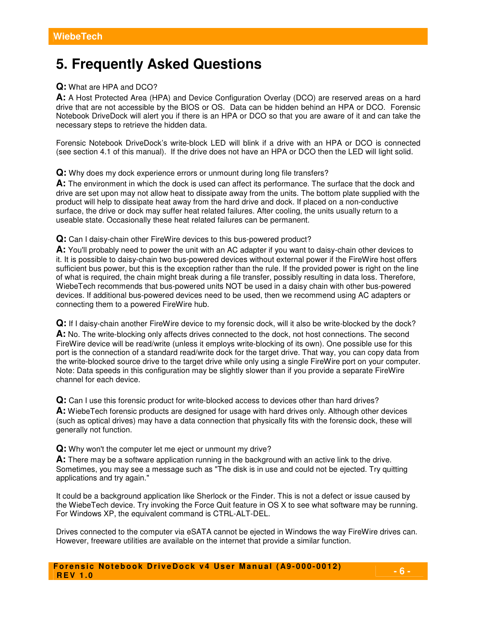## **5. Frequently Asked Questions**

#### **Q:** What are HPA and DCO?

**A:** A Host Protected Area (HPA) and Device Configuration Overlay (DCO) are reserved areas on a hard drive that are not accessible by the BIOS or OS. Data can be hidden behind an HPA or DCO. Forensic Notebook DriveDock will alert you if there is an HPA or DCO so that you are aware of it and can take the necessary steps to retrieve the hidden data.

Forensic Notebook DriveDock's write-block LED will blink if a drive with an HPA or DCO is connected (see section 4.1 of this manual). If the drive does not have an HPA or DCO then the LED will light solid.

#### **Q:** Why does my dock experience errors or unmount during long file transfers?

**A:** The environment in which the dock is used can affect its performance. The surface that the dock and drive are set upon may not allow heat to dissipate away from the units. The bottom plate supplied with the product will help to dissipate heat away from the hard drive and dock. If placed on a non-conductive surface, the drive or dock may suffer heat related failures. After cooling, the units usually return to a useable state. Occasionally these heat related failures can be permanent.

#### **Q:** Can I daisy-chain other FireWire devices to this bus-powered product?

**A:** You'll probably need to power the unit with an AC adapter if you want to daisy-chain other devices to it. It is possible to daisy-chain two bus-powered devices without external power if the FireWire host offers sufficient bus power, but this is the exception rather than the rule. If the provided power is right on the line of what is required, the chain might break during a file transfer, possibly resulting in data loss. Therefore, WiebeTech recommends that bus-powered units NOT be used in a daisy chain with other bus-powered devices. If additional bus-powered devices need to be used, then we recommend using AC adapters or connecting them to a powered FireWire hub.

**Q:** If I daisy-chain another FireWire device to my forensic dock, will it also be write-blocked by the dock? **A:** No. The write-blocking only affects drives connected to the dock, not host connections. The second FireWire device will be read/write (unless it employs write-blocking of its own). One possible use for this port is the connection of a standard read/write dock for the target drive. That way, you can copy data from the write-blocked source drive to the target drive while only using a single FireWire port on your computer. Note: Data speeds in this configuration may be slightly slower than if you provide a separate FireWire channel for each device.

**Q:** Can I use this forensic product for write-blocked access to devices other than hard drives? **A:** WiebeTech forensic products are designed for usage with hard drives only. Although other devices (such as optical drives) may have a data connection that physically fits with the forensic dock, these will generally not function.

**Q:** Why won't the computer let me eject or unmount my drive?

**A:** There may be a software application running in the background with an active link to the drive. Sometimes, you may see a message such as "The disk is in use and could not be ejected. Try quitting applications and try again."

It could be a background application like Sherlock or the Finder. This is not a defect or issue caused by the WiebeTech device. Try invoking the Force Quit feature in OS X to see what software may be running. For Windows XP, the equivalent command is CTRL-ALT-DEL.

Drives connected to the computer via eSATA cannot be ejected in Windows the way FireWire drives can. However, freeware utilities are available on the internet that provide a similar function.